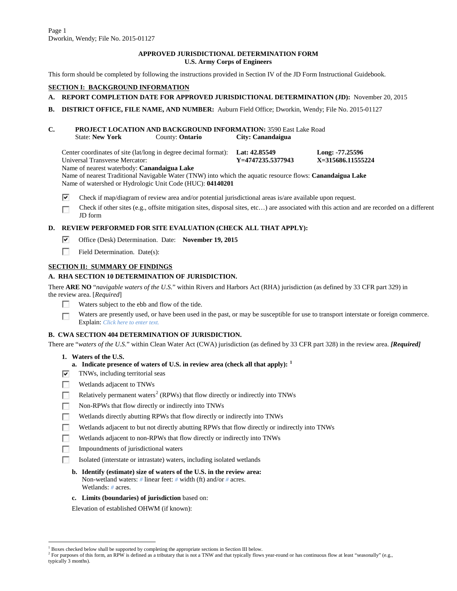## **APPROVED JURISDICTIONAL DETERMINATION FORM U.S. Army Corps of Engineers**

This form should be completed by following the instructions provided in Section IV of the JD Form Instructional Guidebook.

## **SECTION I: BACKGROUND INFORMATION**

# **A. REPORT COMPLETION DATE FOR APPROVED JURISDICTIONAL DETERMINATION (JD):** November 20, 2015

**B. DISTRICT OFFICE, FILE NAME, AND NUMBER:** Auburn Field Office; Dworkin, Wendy; File No. 2015-01127

## **C. PROJECT LOCATION AND BACKGROUND INFORMATION:** 3590 East Lake Road State: **New York** County: **Ontario City: Canandaigua**

Center coordinates of site (lat/long in degree decimal format): **Lat: 42.85549 Long: -77.25596**<br>
Universal Transverse Mercator: **Y**=4747235.5377943 **X=315686.11555224 Universal Transverse Mercator:** 

Name of nearest waterbody: **Canandaigua Lake**

Name of nearest Traditional Navigable Water (TNW) into which the aquatic resource flows: **Canandaigua Lake** Name of watershed or Hydrologic Unit Code (HUC): **04140201**

- ⊽ Check if map/diagram of review area and/or potential jurisdictional areas is/are available upon request.
- Check if other sites (e.g., offsite mitigation sites, disposal sites, etc…) are associated with this action and are recorded on a different ┍ JD form

# **D. REVIEW PERFORMED FOR SITE EVALUATION (CHECK ALL THAT APPLY):**

- ⊽ Office (Desk) Determination. Date: **November 19, 2015**
- $\sim$ Field Determination. Date(s):

# **SECTION II: SUMMARY OF FINDINGS**

# **A. RHA SECTION 10 DETERMINATION OF JURISDICTION.**

There **ARE NO** "*navigable waters of the U.S.*" within Rivers and Harbors Act (RHA) jurisdiction (as defined by 33 CFR part 329) in the review area. [*Required*]

- $\mathcal{E}[\mathcal{E}]$ Waters subject to the ebb and flow of the tide.
- Waters are presently used, or have been used in the past, or may be susceptible for use to transport interstate or foreign commerce.  $\overline{a}$ Explain: *Click here to enter text.*

# **B. CWA SECTION 404 DETERMINATION OF JURISDICTION.**

There are "*waters of the U.S.*" within Clean Water Act (CWA) jurisdiction (as defined by 33 CFR part 328) in the review area. *[Required]*

# **1. Waters of the U.S.**

- **a. Indicate presence of waters of U.S. in review area (check all that apply): [1](#page-0-0)**
- ⊽ TNWs, including territorial seas
- г Wetlands adjacent to TNWs
- Relatively permanent waters<sup>[2](#page-0-1)</sup> (RPWs) that flow directly or indirectly into TNWs M
- Non-RPWs that flow directly or indirectly into TNWs
- Wetlands directly abutting RPWs that flow directly or indirectly into TNWs
- Wetlands adjacent to but not directly abutting RPWs that flow directly or indirectly into TNWs ┍
- Wetlands adjacent to non-RPWs that flow directly or indirectly into TNWs
- Impoundments of jurisdictional waters
- Isolated (interstate or intrastate) waters, including isolated wetlands
- **b. Identify (estimate) size of waters of the U.S. in the review area:** Non-wetland waters: *#* linear feet: *#* width (ft) and/or *#* acres. Wetlands: *#* acres.
- **c. Limits (boundaries) of jurisdiction** based on:

Elevation of established OHWM (if known):

 $1$  Boxes checked below shall be supported by completing the appropriate sections in Section III below.

<span id="page-0-1"></span><span id="page-0-0"></span><sup>&</sup>lt;sup>2</sup> For purposes of this form, an RPW is defined as a tributary that is not a TNW and that typically flows year-round or has continuous flow at least "seasonally" (e.g., typically 3 months).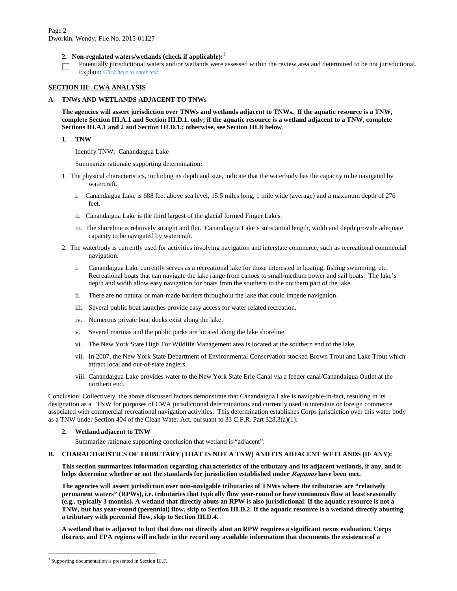- **2. Non-regulated waters/wetlands (check if applicable): [3](#page-1-0)**
- Potentially jurisdictional waters and/or wetlands were assessed within the review area and determined to be not jurisdictional.  $\overline{\phantom{a}}$ Explain: *Click here to enter text.*

#### **SECTION III: CWA ANALYSIS**

#### **A. TNWs AND WETLANDS ADJACENT TO TNWs**

**The agencies will assert jurisdiction over TNWs and wetlands adjacent to TNWs. If the aquatic resource is a TNW, complete Section III.A.1 and Section III.D.1. only; if the aquatic resource is a wetland adjacent to a TNW, complete Sections III.A.1 and 2 and Section III.D.1.; otherwise, see Section III.B below**.

**1. TNW** 

Identify TNW: Canandaigua Lake

Summarize rationale supporting determination:

- 1. The physical characteristics, including its depth and size, indicate that the waterbody has the capacity to be navigated by watercraft.
	- i. Canandaigua Lake is 688 feet above sea level, 15.5 miles long, 1 mile wide (average) and a maximum depth of 276 feet.
	- ii. Canandaigua Lake is the third largest of the glacial formed Finger Lakes.
	- iii. The shoreline is relatively straight and flat. Canandaigua Lake's substantial length, width and depth provide adequate capacity to be navigated by watercraft.
- 2. The waterbody is currently used for activities involving navigation and interstate commerce, such as recreational commercial navigation.
	- i. Canandaigua Lake currently serves as a recreational lake for those interested in boating, fishing swimming, etc. Recreational boats that can navigate the lake range from canoes to small/medium power and sail boats. The lake's depth and width allow easy navigation for boats from the southern to the northern part of the lake.
	- ii. There are no natural or man-made barriers throughout the lake that could impede navigation.
	- iii. Several public boat launches provide easy access for water related recreation.
	- iv. Numerous private boat docks exist along the lake.
	- v. Several marinas and the public parks are located along the lake shoreline.
	- vi. The New York State High Tor Wildlife Management area is located at the southern end of the lake.
	- vii. In 2007, the New York State Department of Environmental Conservation stocked Brown Trout and Lake Trout which attract local and out-of-state anglers.
	- viii. Canandaigua Lake provides water to the New York State Erie Canal via a feeder canal/Canandaigua Outlet at the northern end.

Conclusion: Collectively, the above discussed factors demonstrate that Canandaigua Lake is navigable-in-fact, resulting in its designation as a TNW for purposes of CWA jurisdictional determinations and currently used in interstate or foreign commerce associated with commercial recreational navigation activities. This determination establishes Corps jurisdiction over this water body as a TNW under Section 404 of the Clean Water Act, pursuant to 33 C.F.R. Part 328.3(a)(1).

#### **2. Wetland adjacent to TNW**

Summarize rationale supporting conclusion that wetland is "adjacent":

### **B. CHARACTERISTICS OF TRIBUTARY (THAT IS NOT A TNW) AND ITS ADJACENT WETLANDS (IF ANY):**

**This section summarizes information regarding characteristics of the tributary and its adjacent wetlands, if any, and it helps determine whether or not the standards for jurisdiction established under Rapanos have been met.** 

**The agencies will assert jurisdiction over non-navigable tributaries of TNWs where the tributaries are "relatively permanent waters" (RPWs), i.e. tributaries that typically flow year-round or have continuous flow at least seasonally (e.g., typically 3 months). A wetland that directly abuts an RPW is also jurisdictional. If the aquatic resource is not a TNW, but has year-round (perennial) flow, skip to Section III.D.2. If the aquatic resource is a wetland directly abutting a tributary with perennial flow, skip to Section III.D.4.**

**A wetland that is adjacent to but that does not directly abut an RPW requires a significant nexus evaluation. Corps districts and EPA regions will include in the record any available information that documents the existence of a** 

<span id="page-1-0"></span><sup>&</sup>lt;sup>3</sup> Supporting documentation is presented in Section III.F.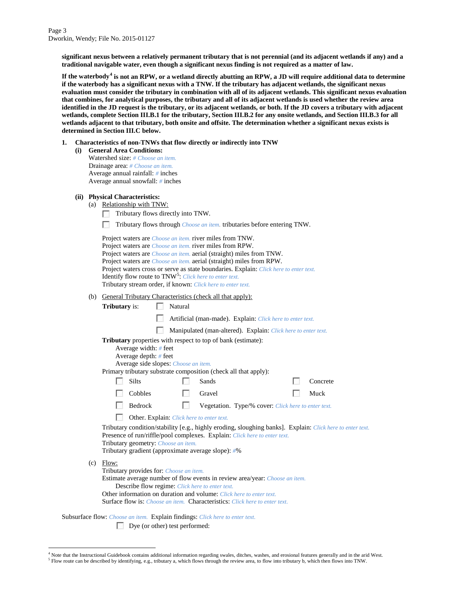**significant nexus between a relatively permanent tributary that is not perennial (and its adjacent wetlands if any) and a traditional navigable water, even though a significant nexus finding is not required as a matter of law.**

**If the waterbody[4](#page-2-0) is not an RPW, or a wetland directly abutting an RPW, a JD will require additional data to determine if the waterbody has a significant nexus with a TNW. If the tributary has adjacent wetlands, the significant nexus evaluation must consider the tributary in combination with all of its adjacent wetlands. This significant nexus evaluation that combines, for analytical purposes, the tributary and all of its adjacent wetlands is used whether the review area identified in the JD request is the tributary, or its adjacent wetlands, or both. If the JD covers a tributary with adjacent wetlands, complete Section III.B.1 for the tributary, Section III.B.2 for any onsite wetlands, and Section III.B.3 for all wetlands adjacent to that tributary, both onsite and offsite. The determination whether a significant nexus exists is determined in Section III.C below.**

- **1. Characteristics of non-TNWs that flow directly or indirectly into TNW**
	- **(i) General Area Conditions:** Watershed size: *# Choose an item.* Drainage area: *# Choose an item.* Average annual rainfall: *#* inches Average annual snowfall: *#* inches

#### **(ii) Physical Characteristics:**

- (a) Relationship with TNW:
	- Tributary flows directly into TNW.
	- m. Tributary flows through *Choose an item.* tributaries before entering TNW.

| Project waters are <i>Choose an item</i> , river miles from TNW.                      |
|---------------------------------------------------------------------------------------|
| Project waters are <i>Choose an item</i> , river miles from RPW.                      |
| Project waters are <i>Choose an item.</i> aerial (straight) miles from TNW.           |
| Project waters are <i>Choose an item.</i> aerial (straight) miles from RPW.           |
| Project waters cross or serve as state boundaries. Explain: Click here to enter text. |
| <b>Identify flow route to TNW<sup>5</sup>:</b> Click here to enter text.              |
| Tributary stream order, if known: Click here to enter text.                           |

(b) General Tributary Characteristics (check all that apply)

| (b)                                                                                                                                                                                                                         | General Tributary Characteristics (check all that apply): |                                                                                            |         |        |                                                                                                                                                                                                                                                               |  |                                                                                                           |
|-----------------------------------------------------------------------------------------------------------------------------------------------------------------------------------------------------------------------------|-----------------------------------------------------------|--------------------------------------------------------------------------------------------|---------|--------|---------------------------------------------------------------------------------------------------------------------------------------------------------------------------------------------------------------------------------------------------------------|--|-----------------------------------------------------------------------------------------------------------|
|                                                                                                                                                                                                                             | <b>Tributary</b> is:                                      |                                                                                            | Natural |        |                                                                                                                                                                                                                                                               |  |                                                                                                           |
|                                                                                                                                                                                                                             |                                                           |                                                                                            |         |        | Artificial (man-made). Explain: Click here to enter text.                                                                                                                                                                                                     |  |                                                                                                           |
|                                                                                                                                                                                                                             |                                                           |                                                                                            |         |        | Manipulated (man-altered). Explain: Click here to enter text.                                                                                                                                                                                                 |  |                                                                                                           |
| Tributary properties with respect to top of bank (estimate):<br>Average width: # feet<br>Average depth: $#$ feet<br>Average side slopes: Choose an item.<br>Primary tributary substrate composition (check all that apply): |                                                           |                                                                                            |         |        |                                                                                                                                                                                                                                                               |  |                                                                                                           |
|                                                                                                                                                                                                                             |                                                           | <b>Silts</b>                                                                               |         | Sands  |                                                                                                                                                                                                                                                               |  | Concrete                                                                                                  |
|                                                                                                                                                                                                                             |                                                           | Cobbles                                                                                    |         | Gravel |                                                                                                                                                                                                                                                               |  | Muck                                                                                                      |
|                                                                                                                                                                                                                             |                                                           | Bedrock                                                                                    |         |        | Vegetation. Type/% cover: Click here to enter text.                                                                                                                                                                                                           |  |                                                                                                           |
|                                                                                                                                                                                                                             |                                                           | Other. Explain: Click here to enter text.                                                  |         |        |                                                                                                                                                                                                                                                               |  |                                                                                                           |
|                                                                                                                                                                                                                             |                                                           | Tributary geometry: Choose an item.<br>Tributary gradient (approximate average slope): #%  |         |        | Presence of run/riffle/pool complexes. Explain: Click here to enter text.                                                                                                                                                                                     |  | Tributary condition/stability [e.g., highly eroding, sloughing banks]. Explain: Click here to enter text. |
| (c)                                                                                                                                                                                                                         | Flow:                                                     | Tributary provides for: Choose an item.<br>Describe flow regime: Click here to enter text. |         |        | Estimate average number of flow events in review area/year: Choose an item.<br>Other information on duration and volume: Click here to enter text.<br><b>Surface flow is:</b> <i>Choose an item.</i> <b>Characteristics:</b> <i>Click here to enter text.</i> |  |                                                                                                           |

Subsurface flow: *Choose an item.* Explain findings: *Click here to enter text.*

Dye (or other) test performed:

<span id="page-2-1"></span><span id="page-2-0"></span> $4$  Note that the Instructional Guidebook contains additional information regarding swales, ditches, washes, and erosional features generally and in the arid West.<br><sup>5</sup> Flow route can be described by identifying, e.g., tri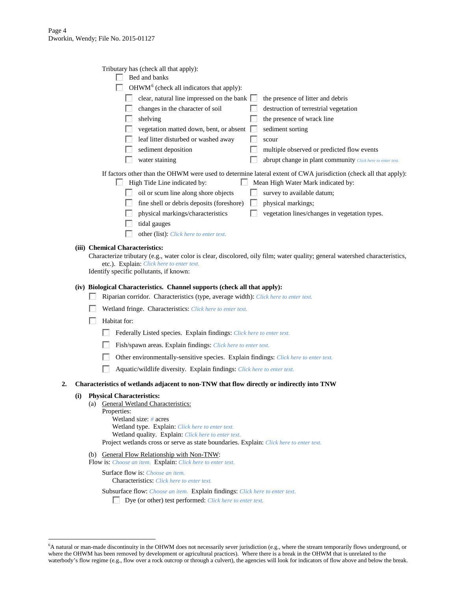| Tributary has (check all that apply):                                                                                |                                                                                                                  |  |  |  |  |  |
|----------------------------------------------------------------------------------------------------------------------|------------------------------------------------------------------------------------------------------------------|--|--|--|--|--|
| Bed and banks                                                                                                        |                                                                                                                  |  |  |  |  |  |
| OHWM <sup>6</sup> (check all indicators that apply):                                                                 |                                                                                                                  |  |  |  |  |  |
| clear, natural line impressed on the bank                                                                            | the presence of litter and debris                                                                                |  |  |  |  |  |
| changes in the character of soil                                                                                     | destruction of terrestrial vegetation                                                                            |  |  |  |  |  |
| shelving                                                                                                             | the presence of wrack line                                                                                       |  |  |  |  |  |
| vegetation matted down, bent, or absent                                                                              | sediment sorting                                                                                                 |  |  |  |  |  |
| leaf litter disturbed or washed away                                                                                 | scour                                                                                                            |  |  |  |  |  |
| sediment deposition                                                                                                  | multiple observed or predicted flow events                                                                       |  |  |  |  |  |
| water staining                                                                                                       | abrupt change in plant community Click here to enter text.                                                       |  |  |  |  |  |
|                                                                                                                      | If factors other than the OHWM were used to determine lateral extent of CWA jurisdiction (check all that apply): |  |  |  |  |  |
| Mean High Water Mark indicated by:<br>High Tide Line indicated by:                                                   |                                                                                                                  |  |  |  |  |  |
| oil or scum line along shore objects                                                                                 | survey to available datum;                                                                                       |  |  |  |  |  |
| fine shell or debris deposits (foreshore)                                                                            | physical markings;                                                                                               |  |  |  |  |  |
| physical markings/characteristics                                                                                    | vegetation lines/changes in vegetation types.                                                                    |  |  |  |  |  |
| tidal gauges                                                                                                         |                                                                                                                  |  |  |  |  |  |
| other (list). Click here to enter text.                                                                              |                                                                                                                  |  |  |  |  |  |
| emical Characteristics:                                                                                              |                                                                                                                  |  |  |  |  |  |
| racterize tributary (e g water color is clear discolored oily film; water quality; general watershed characteristics |                                                                                                                  |  |  |  |  |  |

## (iii) Che

|                                                   | Characterize tributary (e.g., water color is clear, discolored, oily film; water quality; general watershed characteristics, |
|---------------------------------------------------|------------------------------------------------------------------------------------------------------------------------------|
| etc.). Explain: <i>Click here to enter text</i> . |                                                                                                                              |
| Identify encoific pollutents if known:            |                                                                                                                              |

Identify specific pollutants, if known:

## **(iv) Biological Characteristics. Channel supports (check all that apply):**

- Riparian corridor. Characteristics (type, average width): *Click here to enter text.*
- Wetland fringe. Characteristics: *Click here to enter text.*
- **Habitat for:** 
	- Federally Listed species. Explain findings: *Click here to enter text*.
	- Fish/spawn areas. Explain findings: *Click here to enter text.*
	- Other environmentally-sensitive species. Explain findings: *Click here to enter text.*
	- Aquatic/wildlife diversity. Explain findings: *Click here to enter text.*

#### **2. Characteristics of wetlands adjacent to non-TNW that flow directly or indirectly into TNW**

#### **(i) Physical Characteristics:**

- (a) General Wetland Characteristics:
	- Properties: Wetland size: *#* acres Wetland type. Explain: *Click here to enter text.* Wetland quality. Explain: *Click here to enter text.*
	- Project wetlands cross or serve as state boundaries. Explain: *Click here to enter text.*
- (b) General Flow Relationship with Non-TNW:

```
Flow is: Choose an item. Explain: Click here to enter text.
```
Surface flow is: *Choose an item.* Characteristics: *Click here to enter text.*

## Subsurface flow: *Choose an item.* Explain findings: *Click here to enter text.*

Dye (or other) test performed: *Click here to enter text.*

<span id="page-3-0"></span> <sup>6</sup> <sup>6</sup>A natural or man-made discontinuity in the OHWM does not necessarily sever jurisdiction (e.g., where the stream temporarily flows underground, or where the OHWM has been removed by development or agricultural practices). Where there is a break in the OHWM that is unrelated to the waterbody's flow regime (e.g., flow over a rock outcrop or through a culvert), the agencies will look for indicators of flow above and below the break.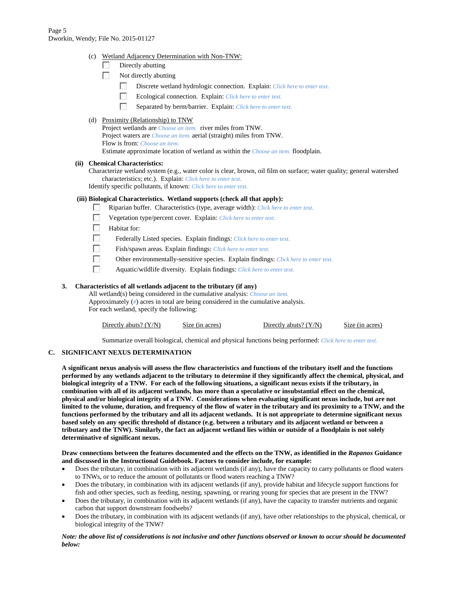(c) Wetland Adjacency Determination with Non-TNW:

|  |  | Directly abutting |
|--|--|-------------------|
|--|--|-------------------|

- $\sim$ Not directly abutting
	- $\overline{a}$ Discrete wetland hydrologic connection. Explain: *Click here to enter text.*
	- п Ecological connection. Explain: *Click here to enter text.*
	- $\sim$ Separated by berm/barrier. Explain: *Click here to enter text.*
- (d) Proximity (Relationship) to TNW Project wetlands are *Choose an item.* river miles from TNW. Project waters are *Choose an item.* aerial (straight) miles from TNW. Flow is from: *Choose an item.* Estimate approximate location of wetland as within the *Choose an item.* floodplain.

#### **(ii) Chemical Characteristics:**

Characterize wetland system (e.g., water color is clear, brown, oil film on surface; water quality; general watershed characteristics; etc.). Explain: *Click here to enter text.* Identify specific pollutants, if known: *Click here to enter text.*

#### **(iii) Biological Characteristics. Wetland supports (check all that apply):**

- **For** Riparian buffer. Characteristics (type, average width): *Click here to enter text.*
- П Vegetation type/percent cover. Explain: *Click here to enter text.*
- $\sim$ Habitat for:
- г Federally Listed species. Explain findings: *Click here to enter text.*
- П Fish/spawn areas. Explain findings: *Click here to enter text.*
- $\mathcal{L}_{\mathcal{A}}$ Other environmentally-sensitive species. Explain findings: *Click here to enter text.*
- П Aquatic/wildlife diversity. Explain findings: *Click here to enter text.*

#### **3. Characteristics of all wetlands adjacent to the tributary (if any)**

All wetland(s) being considered in the cumulative analysis: *Choose an item.* Approximately (*#*) acres in total are being considered in the cumulative analysis. For each wetland, specify the following:

| Directly abuts? $(Y/N)$ | Size (in acres) | Directly abuts? $(Y/N)$ | Size (in acres) |
|-------------------------|-----------------|-------------------------|-----------------|
|-------------------------|-----------------|-------------------------|-----------------|

Summarize overall biological, chemical and physical functions being performed: *Click here to enter text.*

#### **C. SIGNIFICANT NEXUS DETERMINATION**

**A significant nexus analysis will assess the flow characteristics and functions of the tributary itself and the functions performed by any wetlands adjacent to the tributary to determine if they significantly affect the chemical, physical, and biological integrity of a TNW. For each of the following situations, a significant nexus exists if the tributary, in combination with all of its adjacent wetlands, has more than a speculative or insubstantial effect on the chemical, physical and/or biological integrity of a TNW. Considerations when evaluating significant nexus include, but are not limited to the volume, duration, and frequency of the flow of water in the tributary and its proximity to a TNW, and the functions performed by the tributary and all its adjacent wetlands. It is not appropriate to determine significant nexus based solely on any specific threshold of distance (e.g. between a tributary and its adjacent wetland or between a tributary and the TNW). Similarly, the fact an adjacent wetland lies within or outside of a floodplain is not solely determinative of significant nexus.** 

#### **Draw connections between the features documented and the effects on the TNW, as identified in the** *Rapanos* **Guidance and discussed in the Instructional Guidebook. Factors to consider include, for example:**

- Does the tributary, in combination with its adjacent wetlands (if any), have the capacity to carry pollutants or flood waters to TNWs, or to reduce the amount of pollutants or flood waters reaching a TNW?
- Does the tributary, in combination with its adjacent wetlands (if any), provide habitat and lifecycle support functions for fish and other species, such as feeding, nesting, spawning, or rearing young for species that are present in the TNW?
- Does the tributary, in combination with its adjacent wetlands (if any), have the capacity to transfer nutrients and organic carbon that support downstream foodwebs?
- Does the tributary, in combination with its adjacent wetlands (if any), have other relationships to the physical, chemical, or biological integrity of the TNW?

#### *Note: the above list of considerations is not inclusive and other functions observed or known to occur should be documented below:*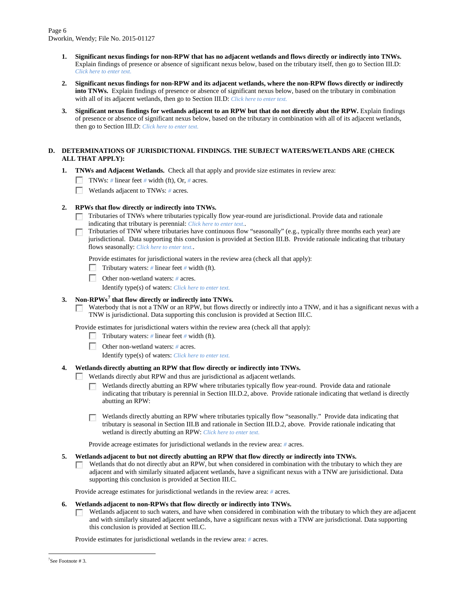- **1. Significant nexus findings for non-RPW that has no adjacent wetlands and flows directly or indirectly into TNWs.**  Explain findings of presence or absence of significant nexus below, based on the tributary itself, then go to Section III.D: *Click here to enter text.*
- **2. Significant nexus findings for non-RPW and its adjacent wetlands, where the non-RPW flows directly or indirectly into TNWs.** Explain findings of presence or absence of significant nexus below, based on the tributary in combination with all of its adjacent wetlands, then go to Section III.D: *Click here to enter text.*
- **3. Significant nexus findings for wetlands adjacent to an RPW but that do not directly abut the RPW.** Explain findings of presence or absence of significant nexus below, based on the tributary in combination with all of its adjacent wetlands, then go to Section III.D: *Click here to enter text.*

## **D. DETERMINATIONS OF JURISDICTIONAL FINDINGS. THE SUBJECT WATERS/WETLANDS ARE (CHECK ALL THAT APPLY):**

- **1. TNWs and Adjacent Wetlands.** Check all that apply and provide size estimates in review area:
	- TNWs: *#* linear feet *#* width (ft), Or, *#* acres.
	- **Wetlands adjacent to TNWs: # acres.**

## **2. RPWs that flow directly or indirectly into TNWs.**

- Tributaries of TNWs where tributaries typically flow year-round are jurisdictional. Provide data and rationale indicating that tributary is perennial: *Click here to enter text.*.
- Tributaries of TNW where tributaries have continuous flow "seasonally" (e.g., typically three months each year) are jurisdictional. Data supporting this conclusion is provided at Section III.B. Provide rationale indicating that tributary flows seasonally: *Click here to enter text.*.

Provide estimates for jurisdictional waters in the review area (check all that apply):

- Tributary waters: *#* linear feet *#* width (ft).
- **Other non-wetland waters: # acres.**

Identify type(s) of waters: *Click here to enter text.*

## **3. Non-RPWs[7](#page-5-0) that flow directly or indirectly into TNWs.**

Waterbody that is not a TNW or an RPW, but flows directly or indirectly into a TNW, and it has a significant nexus with a  $\sim$ TNW is jurisdictional. Data supporting this conclusion is provided at Section III.C.

Provide estimates for jurisdictional waters within the review area (check all that apply):

- Tributary waters: *#* linear feet *#* width (ft).
- Other non-wetland waters: *#* acres.
	- Identify type(s) of waters: *Click here to enter text.*

## **4. Wetlands directly abutting an RPW that flow directly or indirectly into TNWs.**

- Wetlands directly abut RPW and thus are jurisdictional as adjacent wetlands.
	- Wetlands directly abutting an RPW where tributaries typically flow year-round. Provide data and rationale indicating that tributary is perennial in Section III.D.2, above. Provide rationale indicating that wetland is directly abutting an RPW:
	- Wetlands directly abutting an RPW where tributaries typically flow "seasonally." Provide data indicating that  $\sim$ tributary is seasonal in Section III.B and rationale in Section III.D.2, above. Provide rationale indicating that wetland is directly abutting an RPW: *Click here to enter text.*

Provide acreage estimates for jurisdictional wetlands in the review area: *#* acres.

- **5. Wetlands adjacent to but not directly abutting an RPW that flow directly or indirectly into TNWs.**
	- Wetlands that do not directly abut an RPW, but when considered in combination with the tributary to which they are  $\sqrt{2}$ adjacent and with similarly situated adjacent wetlands, have a significant nexus with a TNW are jurisidictional. Data supporting this conclusion is provided at Section III.C.

Provide acreage estimates for jurisdictional wetlands in the review area: *#* acres.

#### **6. Wetlands adjacent to non-RPWs that flow directly or indirectly into TNWs.**

Wetlands adjacent to such waters, and have when considered in combination with the tributary to which they are adjacent  $\Box$ and with similarly situated adjacent wetlands, have a significant nexus with a TNW are jurisdictional. Data supporting this conclusion is provided at Section III.C.

<span id="page-5-0"></span>Provide estimates for jurisdictional wetlands in the review area: *#* acres.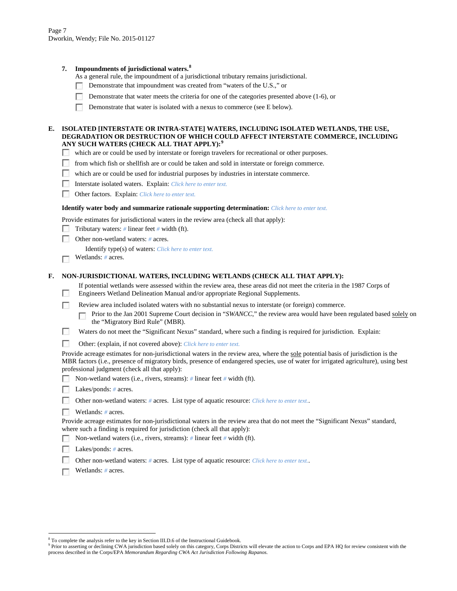## **7. Impoundments of jurisdictional waters. [8](#page-6-0)**

As a general rule, the impoundment of a jurisdictional tributary remains jurisdictional.

- Demonstrate that impoundment was created from "waters of the U.S.," or  $\mathcal{L}_{\mathrm{eff}}$
- п Demonstrate that water meets the criteria for one of the categories presented above (1-6), or
- Demonstrate that water is isolated with a nexus to commerce (see E below).

#### **E. ISOLATED [INTERSTATE OR INTRA-STATE] WATERS, INCLUDING ISOLATED WETLANDS, THE USE, DEGRADATION OR DESTRUCTION OF WHICH COULD AFFECT INTERSTATE COMMERCE, INCLUDING ANY SUCH WATERS (CHECK ALL THAT APPLY):[9](#page-6-1)**

- which are or could be used by interstate or foreign travelers for recreational or other purposes.  $\mathcal{L}_{\text{eff}}$
- **The Street** from which fish or shellfish are or could be taken and sold in interstate or foreign commerce.
- $\sim$ which are or could be used for industrial purposes by industries in interstate commerce.
- $\sim$ Interstate isolated waters.Explain: *Click here to enter text.*
- PST. Other factors.Explain: *Click here to enter text.*

#### **Identify water body and summarize rationale supporting determination:** *Click here to enter text.*

Provide estimates for jurisdictional waters in the review area (check all that apply):

- Tributary waters: *#* linear feet *#* width (ft). PSI.
- $\Box$ Other non-wetland waters: *#* acres.

Identify type(s) of waters: *Click here to enter text.*

Wetlands: *#* acres.  $\overline{a}$ 

п

#### **F. NON-JURISDICTIONAL WATERS, INCLUDING WETLANDS (CHECK ALL THAT APPLY):**

If potential wetlands were assessed within the review area, these areas did not meet the criteria in the 1987 Corps of Engineers Wetland Delineation Manual and/or appropriate Regional Supplements.

Review area included isolated waters with no substantial nexus to interstate (or foreign) commerce.

- Prior to the Jan 2001 Supreme Court decision in "*SWANCC*," the review area would have been regulated based solely on  $\overline{a}$ the "Migratory Bird Rule" (MBR).
- г Waters do not meet the "Significant Nexus" standard, where such a finding is required for jurisdiction. Explain:
- $\sim$ Other: (explain, if not covered above): *Click here to enter text.*

Provide acreage estimates for non-jurisdictional waters in the review area, where the sole potential basis of jurisdiction is the MBR factors (i.e., presence of migratory birds, presence of endangered species, use of water for irrigated agriculture), using best professional judgment (check all that apply):

- Non-wetland waters (i.e., rivers, streams): *#* linear feet *#* width (ft).  $\sim$
- Lakes/ponds: *#* acres.
- **Contract** Other non-wetland waters: *#* acres. List type of aquatic resource: *Click here to enter text.*.
- $\sim$ Wetlands: *#* acres.

Provide acreage estimates for non-jurisdictional waters in the review area that do not meet the "Significant Nexus" standard, where such a finding is required for jurisdiction (check all that apply):

- Non-wetland waters (i.e., rivers, streams): *#* linear feet *#* width (ft).
- Lakes/ponds: *#* acres.
- Other non-wetland waters: *#* acres. List type of aquatic resource: *Click here to enter text.*.
- Wetlands: *#* acres.

<span id="page-6-0"></span> $8<sup>8</sup>$  To complete the analysis refer to the key in Section III.D.6 of the Instructional Guidebook.

<span id="page-6-1"></span><sup>9</sup> Prior to asserting or declining CWA jurisdiction based solely on this category, Corps Districts will elevate the action to Corps and EPA HQ for review consistent with the process described in the Corps/EPA *Memorandum Regarding CWA Act Jurisdiction Following Rapanos.*